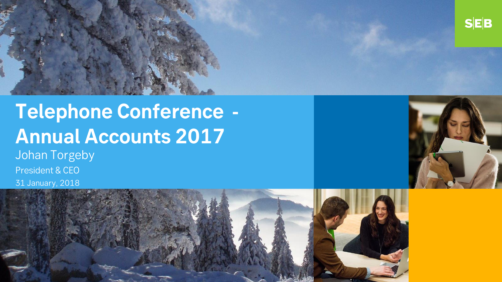

# **Telephone Conference - Annual Accounts 2017**

Johan Torgeby President & CEO 31 January, 2018



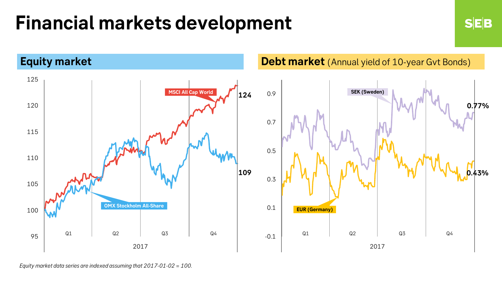### **Financial markets development**



**SEB** 

*Equity market data series are indexed assuming that 2017-01-02 = 100.*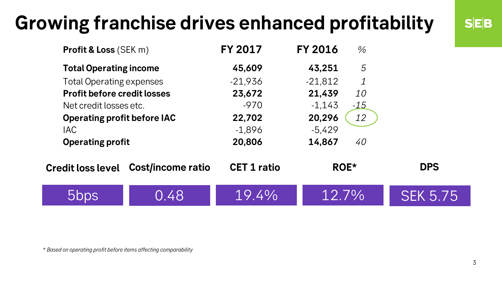### **Growing franchise drives enhanced profitability**

| <b>Profit &amp; Loss (SEK m)</b>   |                                            | <b>FY 2017</b>     | <b>FY 2016</b> | $\%$      |                 |  |
|------------------------------------|--------------------------------------------|--------------------|----------------|-----------|-----------------|--|
| <b>Total Operating income</b>      |                                            | 45,609             | 43,251         | 5         |                 |  |
| <b>Total Operating expenses</b>    |                                            | $-21,936$          | $-21,812$      | 1         |                 |  |
| <b>Profit before credit losses</b> |                                            | 23,672             | 21,439         | <i>10</i> |                 |  |
| Net credit losses etc.             |                                            | $-970$             | $-1,143$       | $-15$     |                 |  |
| <b>Operating profit before IAC</b> |                                            | 22,702             | 20,296         | 12        |                 |  |
| <b>IAC</b>                         |                                            | $-1,896$           | $-5,429$       |           |                 |  |
| <b>Operating profit</b>            |                                            | 20,806             | 14,867         | 40        |                 |  |
|                                    | <b>Credit loss level Cost/income ratio</b> | <b>CET 1 ratio</b> | ROE*           |           | <b>DPS</b>      |  |
| bbps                               | 0.48                                       | 19.4%              | $12.7\%$       |           | <b>SEK 5.75</b> |  |

\* *Based on operating profit before items affecting comparability*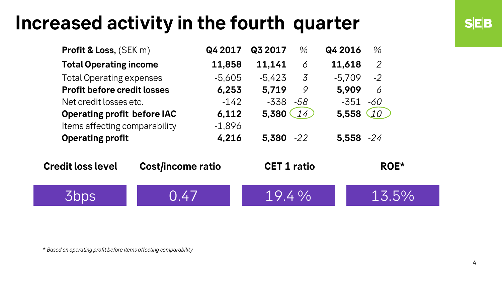### **Increased activity in the fourth quarter**

| <b>Profit &amp; Loss, (SEK m)</b>  |                          | Q4 2017  | Q3 2017            | $\%$           | Q4 2016      | $\%$           |
|------------------------------------|--------------------------|----------|--------------------|----------------|--------------|----------------|
| <b>Total Operating income</b>      |                          | 11,858   | 11,141             | 6              | 11,618       | $\overline{2}$ |
| <b>Total Operating expenses</b>    |                          | $-5,605$ | $-5,423$           | $\overline{3}$ | $-5,709$     | $-2$           |
| <b>Profit before credit losses</b> |                          | 6,253    | 5,719              | 9              | 5,909        | 6              |
| Net credit losses etc.             |                          | $-142$   | $-338$             | -58            | -351         | -60            |
| <b>Operating profit before IAC</b> |                          | 6,112    | 5,380              | 14             | 5,558        | 10             |
| Items affecting comparability      |                          | $-1,896$ |                    |                |              |                |
| <b>Operating profit</b>            |                          | 4,216    | $5,380 -22$        |                | $5,558 - 24$ |                |
| <b>Credit loss level</b>           | <b>Cost/income ratio</b> |          | <b>CET 1 ratio</b> |                |              | ROE*           |
|                                    | 0.47                     |          | $19.4\%$           |                |              | 13.5%          |

\* *Based on operating profit before items affecting comparability*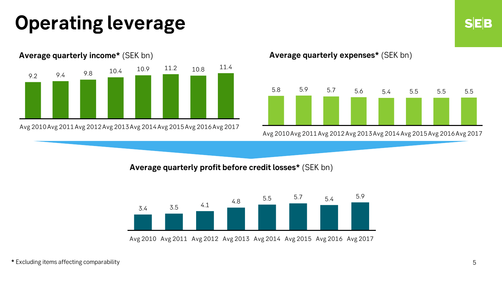## **Operating leverage**



Avg 2010Avg 2011Avg 2012Avg 2013Avg 2014Avg 2015Avg 2016Avg 2017

**Average quarterly expenses\*** (SEK bn)



Avg 2010Avg 2011Avg 2012Avg 2013Avg 2014Avg 2015Avg 2016Avg 2017

**Average quarterly profit before credit losses\*** (SEK bn)



Avg 2010 Avg 2011 Avg 2012 Avg 2013 Avg 2014 Avg 2015 Avg 2016 Avg 2017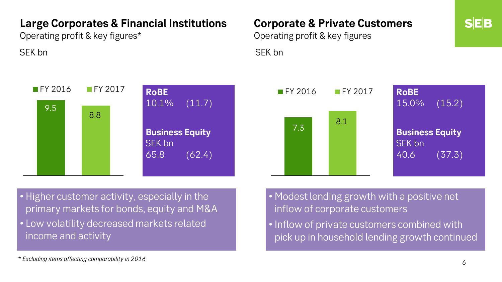#### **Large Corporates & Financial Institutions**

Operating profit & key figures\*



### **Corporate & Private Customers**

Operating profit & key figures SEK bn SEK bn SEK bn SEK bn SEK bn SEK bn SEK bn SEK bn SEK bn SEK bn SEK bn SEK bn SEK bn SEK bn SEK bn SEK bn



• Higher customer activity, especially in the primary markets for bonds, equity and M&A

• Low volatility decreased markets related income and activity

• Modest lending growth with a positive net inflow of corporate customers

• Inflow of private customers combined with pick up in household lending growth continued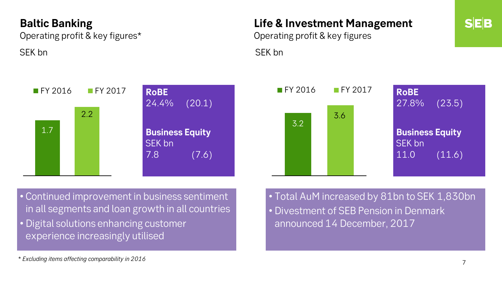#### **Baltic Banking**

Operating profit & key figures\*

#### **Life & Investment Management**

Operating profit & key figures SEK bn SEK bn SEK bn SEK bn SEK bn SEK bn SEK bn SEK bn SEK bn SEK bn SEK bn SEK bn SEK bn SEK bn SEK bn SEK bn





• Continued improvement in business sentiment in all segments and loan growth in all countries

• Digital solutions enhancing customer experience increasingly utilised

• Total AuM increased by 81bn to SEK 1,830bn • Divestment of SEB Pension in Denmark announced 14 December, 2017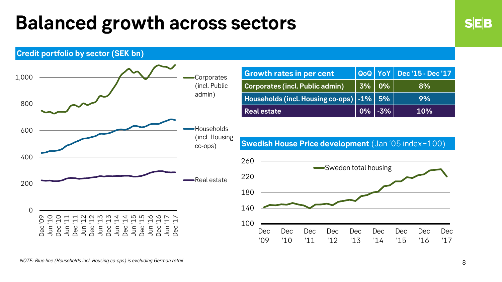### **Balanced growth across sectors**

**Credit portfolio by sector (SEK bn)**



| <b>Growth rates in per cent</b>              |                                                                                                                                                          | $\log$ YoY Dec '15 - Dec '17 |
|----------------------------------------------|----------------------------------------------------------------------------------------------------------------------------------------------------------|------------------------------|
| Corporates (incl. Public admin)              | $\begin{array}{ c c c c c }\hline \rule{0pt}{8ex} 3\% & \rule{0pt}{8ex} \hline \rule{0pt}{8ex} 0\% & \rule{0pt}{8ex} \hline \rule{0pt}{8ex} \end{array}$ | 8%                           |
| Households (incl. Housing co-ops)   -1%   5% |                                                                                                                                                          | 9%                           |
| <b>Real estate</b>                           | $\sqrt{0\%}$ -3% $\ $                                                                                                                                    | <b>10%</b>                   |

**Swedish House Price development** (Jan '05 index=100)

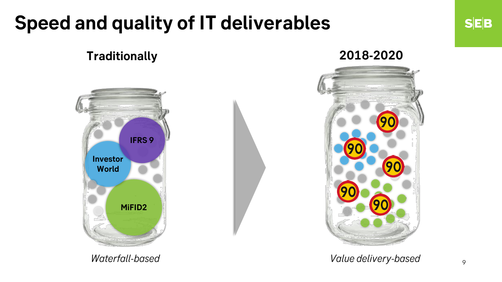### **Speed and quality of IT deliverables**

### **Traditionally 2018-2020**





*Waterfall-based Value delivery-based*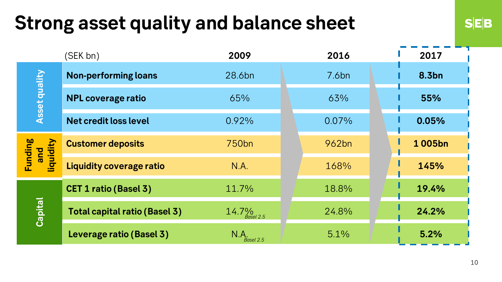### **Strong asset quality and balance sheet**

|                             | (SEK bn)                             | 2009                        | 2016     | 2017         |
|-----------------------------|--------------------------------------|-----------------------------|----------|--------------|
| <b>Asset quality</b>        | <b>Non-performing loans</b>          | 28.6bn                      | 7.6bn    | <b>8.3bn</b> |
|                             | <b>NPL coverage ratio</b>            | 65%                         | 63%      | 55%          |
|                             | <b>Net credit loss level</b>         | 0.92%                       | $0.07\%$ | 0.05%        |
| Funding<br>and<br>liquidity | <b>Customer deposits</b>             | 750 <sub>bn</sub>           | 962bn    | 1005bn       |
|                             | <b>Liquidity coverage ratio</b>      | N.A.                        | 168%     | 145%         |
| Capital                     | <b>CET 1 ratio (Basel 3)</b>         | 11.7%                       | 18.8%    | 19.4%        |
|                             | <b>Total capital ratio (Basel 3)</b> | 14.7 $\frac{9}{6}$ asel 2.5 | 24.8%    | 24.2%        |
|                             | Leverage ratio (Basel 3)             | N.A.<br>Basel 2.5           | 5.1%     | 5.2%         |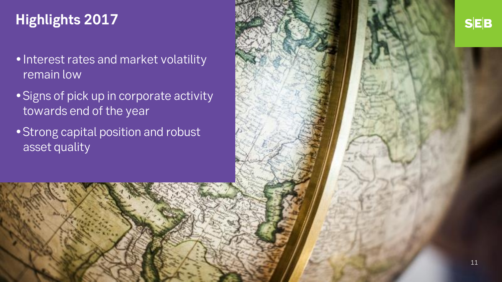### **Highlights 2017**

- Interest rates and market volatility remain low
- Signs of pick up in corporate activity towards end of the year
- Strong capital position and robust asset quality